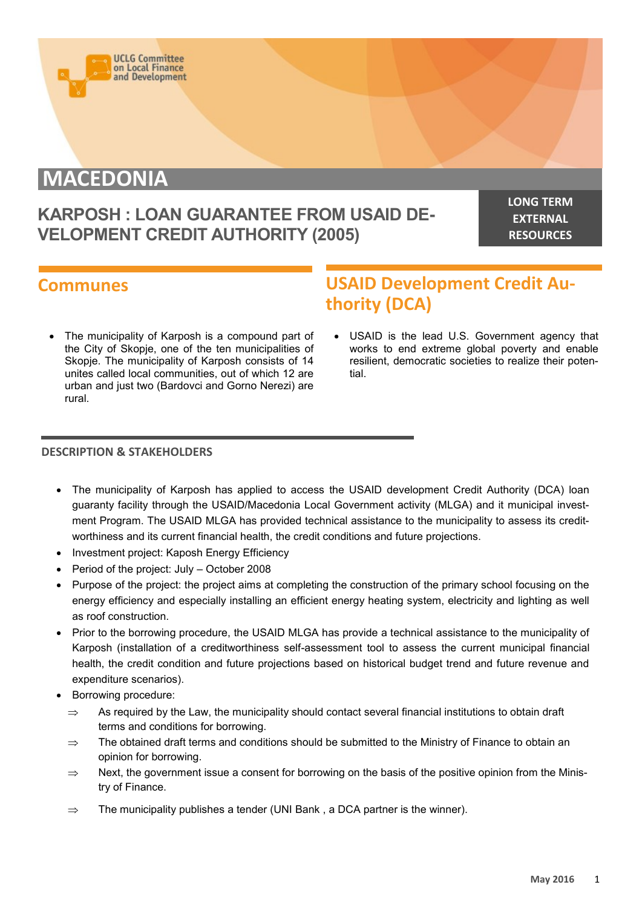

# **MACEDONIA**

### **KARPOSH : LOAN GUARANTEE FROM USAID DE-VELOPMENT CREDIT AUTHORITY (2005)**

**LONG TERM EXTERNAL RESOURCES**

### **Communes**

## **USAID Development Credit Authority (DCA)**

 The municipality of Karposh is a compound part of the City of Skopje, one of the ten municipalities of Skopje. The municipality of Karposh consists of 14 unites called local communities, out of which 12 are urban and just two (Bardovci and Gorno Nerezi) are rural.

 USAID is the lead U.S. Government agency that works to end extreme global poverty and enable resilient, democratic societies to realize their potential.

#### **DESCRIPTION & STAKEHOLDERS**

- The municipality of Karposh has applied to access the USAID development Credit Authority (DCA) loan guaranty facility through the USAID/Macedonia Local Government activity (MLGA) and it municipal investment Program. The USAID MLGA has provided technical assistance to the municipality to assess its creditworthiness and its current financial health, the credit conditions and future projections.
- Investment project: Kaposh Energy Efficiency
- Period of the project: July October 2008
- Purpose of the project: the project aims at completing the construction of the primary school focusing on the energy efficiency and especially installing an efficient energy heating system, electricity and lighting as well as roof construction.
- Prior to the borrowing procedure, the USAID MLGA has provide a technical assistance to the municipality of Karposh (installation of a creditworthiness self-assessment tool to assess the current municipal financial health, the credit condition and future projections based on historical budget trend and future revenue and expenditure scenarios).
- Borrowing procedure:
	- $\Rightarrow$  As required by the Law, the municipality should contact several financial institutions to obtain draft terms and conditions for borrowing.
	- $\Rightarrow$  The obtained draft terms and conditions should be submitted to the Ministry of Finance to obtain an opinion for borrowing.
	- $\Rightarrow$  Next, the government issue a consent for borrowing on the basis of the positive opinion from the Ministry of Finance.
	- $\Rightarrow$  The municipality publishes a tender (UNI Bank, a DCA partner is the winner).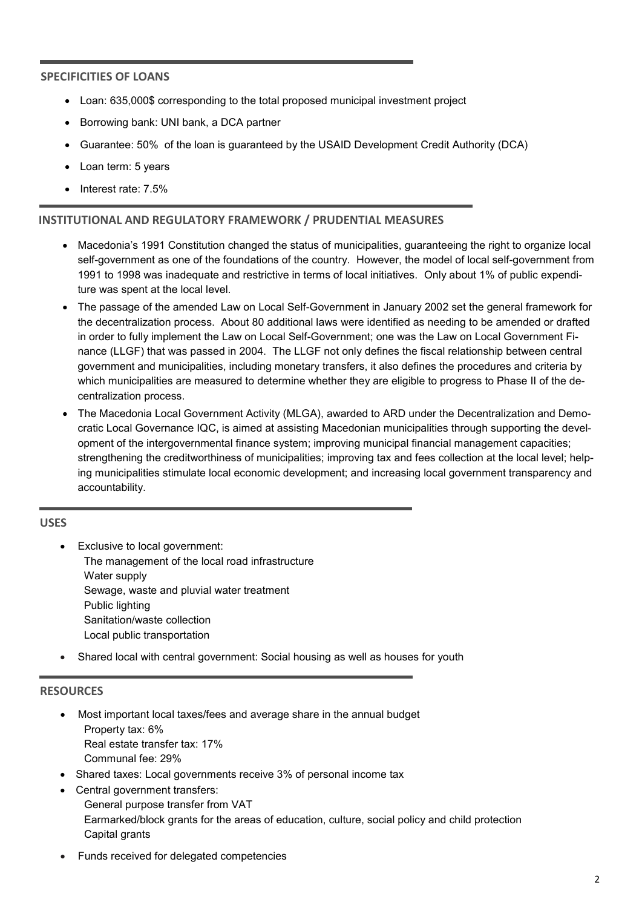#### **SPECIFICITIES OF LOANS**

- Loan: 635,000\$ corresponding to the total proposed municipal investment project
- Borrowing bank: UNI bank, a DCA partner
- Guarantee: 50% of the loan is guaranteed by the USAID Development Credit Authority (DCA)
- Loan term: 5 years
- Interest rate: 7.5%

#### **INSTITUTIONAL AND REGULATORY FRAMEWORK / PRUDENTIAL MEASURES**

- Macedonia's 1991 Constitution changed the status of municipalities, guaranteeing the right to organize local self-government as one of the foundations of the country. However, the model of local self-government from 1991 to 1998 was inadequate and restrictive in terms of local initiatives. Only about 1% of public expenditure was spent at the local level.
- The passage of the amended Law on Local Self-Government in January 2002 set the general framework for the decentralization process. About 80 additional laws were identified as needing to be amended or drafted in order to fully implement the Law on Local Self-Government; one was the Law on Local Government Finance (LLGF) that was passed in 2004. The LLGF not only defines the fiscal relationship between central government and municipalities, including monetary transfers, it also defines the procedures and criteria by which municipalities are measured to determine whether they are eligible to progress to Phase II of the decentralization process.
- The Macedonia Local Government Activity (MLGA), awarded to ARD under the Decentralization and Democratic Local Governance IQC, is aimed at assisting Macedonian municipalities through supporting the development of the intergovernmental finance system; improving municipal financial management capacities; strengthening the creditworthiness of municipalities; improving tax and fees collection at the local level; helping municipalities stimulate local economic development; and increasing local government transparency and accountability.

#### **USES**

- Exclusive to local government: The management of the local road infrastructure Water supply Sewage, waste and pluvial water treatment Public lighting Sanitation/waste collection Local public transportation
- Shared local with central government: Social housing as well as houses for youth

#### **RESOURCES**

- Most important local taxes/fees and average share in the annual budget Property tax: 6% Real estate transfer tax: 17% Communal fee: 29%
- Shared taxes: Local governments receive 3% of personal income tax
- Central government transfers: General purpose transfer from VAT Earmarked/block grants for the areas of education, culture, social policy and child protection Capital grants
- Funds received for delegated competencies